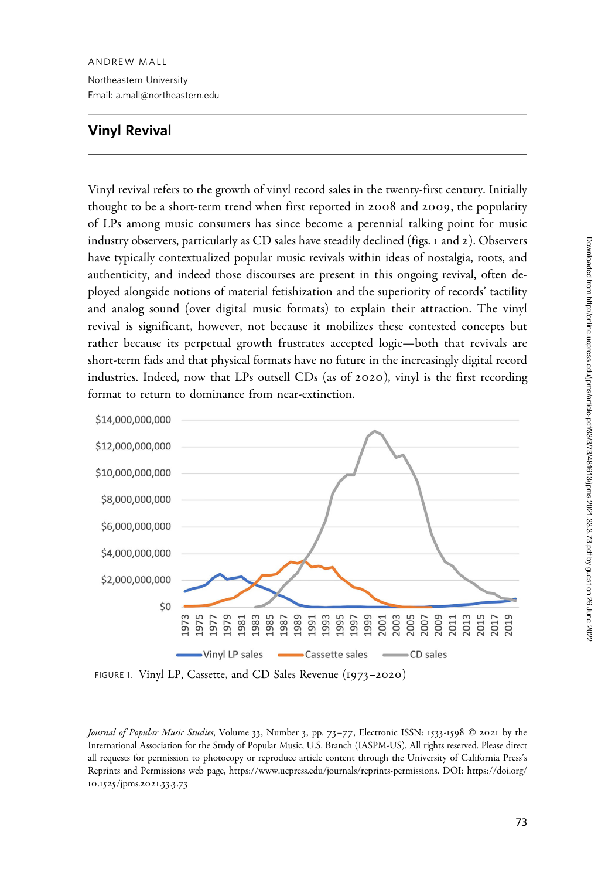Email: a.mall@northeastern.edu

## Vinyl Revival

Vinyl revival refers to the growth of vinyl record sales in the twenty-first century. Initially thought to be a short-term trend when first reported in 2008 and 2009, the popularity of LPs among music consumers has since become a perennial talking point for music industry observers, particularly as CD sales have steadily declined (figs. 1 and 2). Observers have typically contextualized popular music revivals within ideas of nostalgia, roots, and authenticity, and indeed those discourses are present in this ongoing revival, often deployed alongside notions of material fetishization and the superiority of records' tactility and analog sound (over digital music formats) to explain their attraction. The vinyl revival is significant, however, not because it mobilizes these contested concepts but rather because its perpetual growth frustrates accepted logic—both that revivals are short-term fads and that physical formats have no future in the increasingly digital record industries. Indeed, now that LPs outsell CDs (as of 2020), vinyl is the first recording format to return to dominance from near-extinction.



FIGURE 1. Vinyl LP, Cassette, and CD Sales Revenue (1973–2020)

Journal of Popular Music Studies, Volume 33, Number 3, pp. 73-77, Electronic ISSN: 1533-1598 © 2021 by the International Association for the Study of Popular Music, U.S. Branch (IASPM-US). All rights reserved. Please direct all requests for permission to photocopy or reproduce article content through the University of California Press's Reprints and Permissions web page, [https://www.ucpress.edu/journals/reprints-permissions.](https://www.ucpress.edu/journals/reprints-permissions) [DOI: https://doi.org/](https://doi.org/10.1525/jpms.2021.33.3.73) 10.1525[/jpms.](https://doi.org/10.1525/jpms.2021.33.3.73)2021.33.3.73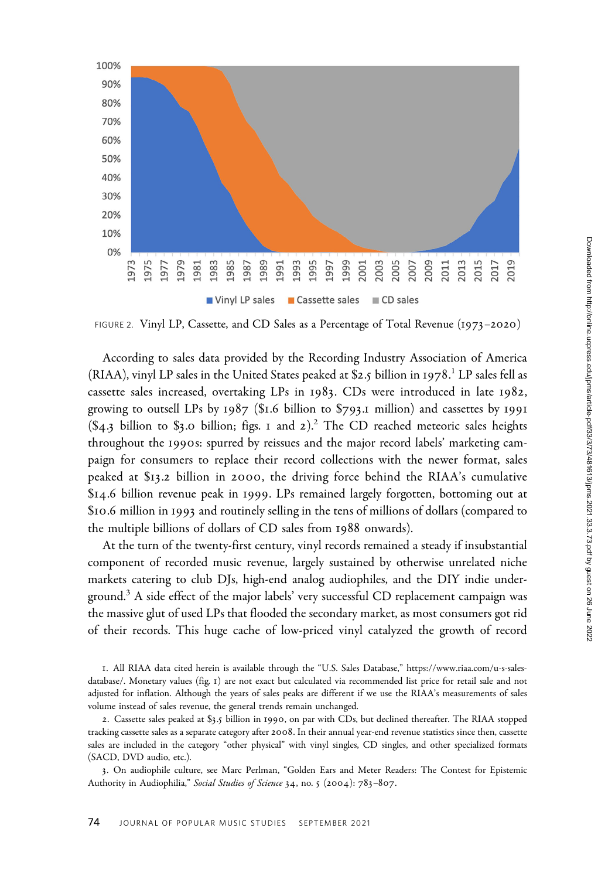

FIGURE 2. Vinyl LP, Cassette, and CD Sales as a Percentage of Total Revenue (1973–2020)

According to sales data provided by the Recording Industry Association of America (RIAA), vinyl LP sales in the United States peaked at \$2.5 billion in 1978.<sup>1</sup> LP sales fell as cassette sales increased, overtaking LPs in 1983. CDs were introduced in late 1982, growing to outsell LPs by 1987 (\$1.6 billion to \$793.1 million) and cassettes by 1991  $(\$4.3)$  billion to  $\$3.0$  billion; figs. 1 and 2).<sup>2</sup> The CD reached meteoric sales heights throughout the 1990s: spurred by reissues and the major record labels' marketing campaign for consumers to replace their record collections with the newer format, sales peaked at \$13.2 billion in 2000, the driving force behind the RIAA's cumulative \$14.6 billion revenue peak in 1999. LPs remained largely forgotten, bottoming out at \$10.6 million in 1993 and routinely selling in the tens of millions of dollars (compared to the multiple billions of dollars of CD sales from 1988 onwards).

At the turn of the twenty-first century, vinyl records remained a steady if insubstantial component of recorded music revenue, largely sustained by otherwise unrelated niche markets catering to club DJs, high-end analog audiophiles, and the DIY indie underground.<sup>3</sup> A side effect of the major labels' very successful CD replacement campaign was the massive glut of used LPs that flooded the secondary market, as most consumers got rid of their records. This huge cache of low-priced vinyl catalyzed the growth of record

1. All RIAA data cited herein is available through the "U.S. Sales Database," [https://www.riaa.com/u-s-sales](https://www.riaa.com/u-s-sales-database/)[database/](https://www.riaa.com/u-s-sales-database/). Monetary values (fig. 1) are not exact but calculated via recommended list price for retail sale and not adjusted for inflation. Although the years of sales peaks are different if we use the RIAA's measurements of sales volume instead of sales revenue, the general trends remain unchanged.

2. Cassette sales peaked at \$3.5 billion in 1990, on par with CDs, but declined thereafter. The RIAA stopped tracking cassette sales as a separate category after 2008. In their annual year-end revenue statistics since then, cassette sales are included in the category "other physical" with vinyl singles, CD singles, and other specialized formats (SACD, DVD audio, etc.).

3. On audiophile culture, see Marc Perlman, "Golden Ears and Meter Readers: The Contest for Epistemic Authority in Audiophilia," Social Studies of Science 34, no. 5 (2004): 783-807.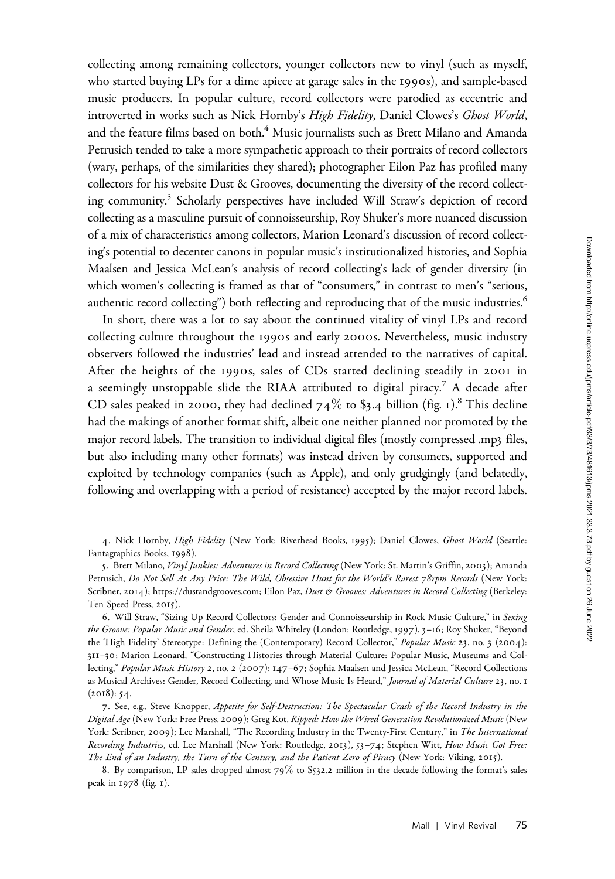collecting among remaining collectors, younger collectors new to vinyl (such as myself, who started buying LPs for a dime apiece at garage sales in the 1990s), and sample-based music producers. In popular culture, record collectors were parodied as eccentric and introverted in works such as Nick Hornby's High Fidelity, Daniel Clowes's Ghost World, and the feature films based on both.<sup>4</sup> Music journalists such as Brett Milano and Amanda Petrusich tended to take a more sympathetic approach to their portraits of record collectors (wary, perhaps, of the similarities they shared); photographer Eilon Paz has profiled many collectors for his website Dust & Grooves, documenting the diversity of the record collecting community.5 Scholarly perspectives have included Will Straw's depiction of record collecting as a masculine pursuit of connoisseurship, Roy Shuker's more nuanced discussion of a mix of characteristics among collectors, Marion Leonard's discussion of record collecting's potential to decenter canons in popular music's institutionalized histories, and Sophia Maalsen and Jessica McLean's analysis of record collecting's lack of gender diversity (in which women's collecting is framed as that of "consumers," in contrast to men's "serious, authentic record collecting") both reflecting and reproducing that of the music industries.<sup>6</sup>

In short, there was a lot to say about the continued vitality of vinyl LPs and record collecting culture throughout the 1990s and early 2000s. Nevertheless, music industry observers followed the industries' lead and instead attended to the narratives of capital. After the heights of the 1990s, sales of CDs started declining steadily in 2001 in a seemingly unstoppable slide the RIAA attributed to digital piracy.<sup>7</sup> A decade after CD sales peaked in 2000, they had declined  $74\%$  to \$3.4 billion (fig. 1).<sup>8</sup> This decline had the makings of another format shift, albeit one neither planned nor promoted by the major record labels. The transition to individual digital files (mostly compressed .mp3 files, but also including many other formats) was instead driven by consumers, supported and exploited by technology companies (such as Apple), and only grudgingly (and belatedly, following and overlapping with a period of resistance) accepted by the major record labels.

4. Nick Hornby, High Fidelity (New York: Riverhead Books, 1995); Daniel Clowes, Ghost World (Seattle: Fantagraphics Books, 1998).

5. Brett Milano, Vinyl Junkies: Adventures in Record Collecting (New York: St. Martin's Griffin, 2003); Amanda Petrusich, Do Not Sell At Any Price: The Wild, Obsessive Hunt for the World's Rarest 78rpm Records (New York: Scribner, 2014);<https://dustandgrooves.com>; Eilon Paz, Dust & Grooves: Adventures in Record Collecting (Berkeley: Ten Speed Press, 2015).

6. Will Straw, "Sizing Up Record Collectors: Gender and Connoisseurship in Rock Music Culture," in Sexing the Groove: Popular Music and Gender, ed. Sheila Whiteley (London: Routledge, 1997), 3-16; Roy Shuker, "Beyond the 'High Fidelity' Stereotype: Defining the (Contemporary) Record Collector," Popular Music 23, no. 3 (2004): 311–30; Marion Leonard, "Constructing Histories through Material Culture: Popular Music, Museums and Collecting," Popular Music History 2, no. 2 (2007): 147-67; Sophia Maalsen and Jessica McLean, "Record Collections as Musical Archives: Gender, Record Collecting, and Whose Music Is Heard," Journal of Material Culture 23, no. 1  $(2018): 54.$ 

7. See, e.g., Steve Knopper, Appetite for Self-Destruction: The Spectacular Crash of the Record Industry in the Digital Age (New York: Free Press, 2009); Greg Kot, Ripped: How the Wired Generation Revolutionized Music (New York: Scribner, 2009); Lee Marshall, "The Recording Industry in the Twenty-First Century," in The International Recording Industries, ed. Lee Marshall (New York: Routledge, 2013), 53-74; Stephen Witt, How Music Got Free: The End of an Industry, the Turn of the Century, and the Patient Zero of Piracy (New York: Viking, 2015).

8. By comparison, LP sales dropped almost 79% to \$532.2 million in the decade following the format's sales peak in 1978 (fig. 1).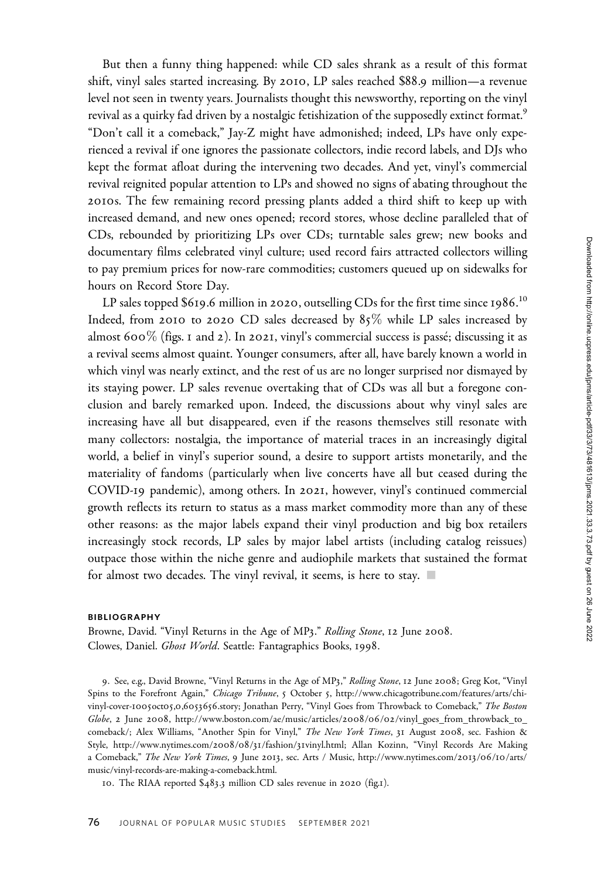But then a funny thing happened: while CD sales shrank as a result of this format shift, vinyl sales started increasing. By 2010, LP sales reached \$88.9 million—a revenue level not seen in twenty years. Journalists thought this newsworthy, reporting on the vinyl revival as a quirky fad driven by a nostalgic fetishization of the supposedly extinct format.<sup>9</sup> "Don't call it a comeback," Jay-Z might have admonished; indeed, LPs have only experienced a revival if one ignores the passionate collectors, indie record labels, and DJs who kept the format afloat during the intervening two decades. And yet, vinyl's commercial revival reignited popular attention to LPs and showed no signs of abating throughout the 2010s. The few remaining record pressing plants added a third shift to keep up with increased demand, and new ones opened; record stores, whose decline paralleled that of CDs, rebounded by prioritizing LPs over CDs; turntable sales grew; new books and documentary films celebrated vinyl culture; used record fairs attracted collectors willing to pay premium prices for now-rare commodities; customers queued up on sidewalks for hours on Record Store Day.

LP sales topped \$619.6 million in 2020, outselling CDs for the first time since 1986. $^{10}$ Indeed, from 2010 to 2020 CD sales decreased by  $85\%$  while LP sales increased by almost 600% (figs. 1 and 2). In 2021, vinyl's commercial success is passé; discussing it as a revival seems almost quaint. Younger consumers, after all, have barely known a world in which vinyl was nearly extinct, and the rest of us are no longer surprised nor dismayed by its staying power. LP sales revenue overtaking that of CDs was all but a foregone conclusion and barely remarked upon. Indeed, the discussions about why vinyl sales are increasing have all but disappeared, even if the reasons themselves still resonate with many collectors: nostalgia, the importance of material traces in an increasingly digital world, a belief in vinyl's superior sound, a desire to support artists monetarily, and the materiality of fandoms (particularly when live concerts have all but ceased during the COVID-19 pandemic), among others. In 2021, however, vinyl's continued commercial growth reflects its return to status as a mass market commodity more than any of these other reasons: as the major labels expand their vinyl production and big box retailers increasingly stock records, LP sales by major label artists (including catalog reissues) outpace those within the niche genre and audiophile markets that sustained the format for almost two decades. The vinyl revival, it seems, is here to stay.  $\blacksquare$ 

## BIBLIOGRAPHY

Browne, David. "Vinyl Returns in the Age of MP3." Rolling Stone, 12 June 2008. Clowes, Daniel. Ghost World. Seattle: Fantagraphics Books, 1998.

9. See, e.g., David Browne, "Vinyl Returns in the Age of MP3," Rolling Stone, 12 June 2008; Greg Kot, "Vinyl Spins to the Forefront Again," Chicago Tribune, 5 October 5, [http://www.chicagotribune.com/features/arts/chi](http://www.chicagotribune.com/features/arts/chi-vinyl-cover-1005oct05,0,6053656)[vinyl-cover-](http://www.chicagotribune.com/features/arts/chi-vinyl-cover-1005oct05,0,6053656)1005oct05,0,6053656.story; Jonathan Perry, "Vinyl Goes from Throwback to Comeback," The Boston Globe, 2 June 2008, [http://www.boston.com/ae/music/articles/](http://www.boston.com/ae/music/articles/2008/06/02/vinyl_goes_from_throwback_to_comeback)2008/06/02/vinyl\_goes\_from\_throwback\_to\_ [comeback/](http://www.boston.com/ae/music/articles/2008/06/02/vinyl_goes_from_throwback_to_comeback); Alex Williams, "Another Spin for Vinyl," The New York Times, 31 August 2008, sec. Fashion & Style, [http://www.nytimes.com/](http://www.nytimes.com/2008/08/31/fashion/31vinyl.html)2008/08/31/fashion/31vinyl.html; Allan Kozinn, "Vinyl Records Are Making a Comeback," The New York Times, 9 June 2013, sec. Arts / Music, [http://www.nytimes.com/](http://www.nytimes.com/2013/06/10/arts/music/vinyl-records-are-making-a-comeback.html)2013/06/10/arts/ [music/vinyl-records-are-making-a-comeback.html.](http://www.nytimes.com/2013/06/10/arts/music/vinyl-records-are-making-a-comeback.html)

10. The RIAA reported \$483.3 million CD sales revenue in 2020 (fig.1).